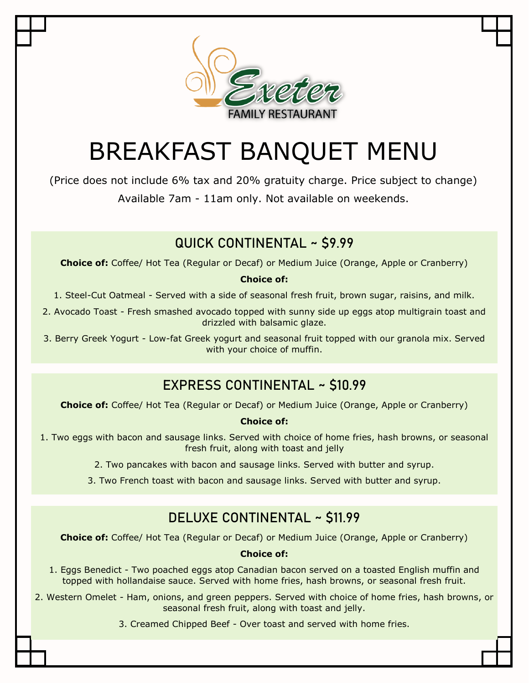

# BREAKFAST BANQUET MENU

(Price does not include 6% tax and 20% gratuity charge. Price subject to change) Available 7am - 11am only. Not available on weekends.

### **QUICK CONTINENTAL ~ \$9.99**

**Choice of:** Coffee/ Hot Tea (Regular or Decaf) or Medium Juice (Orange, Apple or Cranberry)

#### **Choice of:**

1. Steel-Cut Oatmeal - Served with a side of seasonal fresh fruit, brown sugar, raisins, and milk.

2. Avocado Toast - Fresh smashed avocado topped with sunny side up eggs atop multigrain toast and drizzled with balsamic glaze.

3. Berry Greek Yogurt - Low-fat Greek yogurt and seasonal fruit topped with our granola mix. Served with your choice of muffin.

### **EXPRESS CONTINENTAL ~ \$10.99**

**Choice of:** Coffee/ Hot Tea (Regular or Decaf) or Medium Juice (Orange, Apple or Cranberry)

#### **Choice of:**

1. Two eggs with bacon and sausage links. Served with choice of home fries, hash browns, or seasonal fresh fruit, along with toast and jelly

2. Two pancakes with bacon and sausage links. Served with butter and syrup.

3. Two French toast with bacon and sausage links. Served with butter and syrup.

### **DELUXE CONTINENTAL ~ \$11.99**

**Choice of:** Coffee/ Hot Tea (Regular or Decaf) or Medium Juice (Orange, Apple or Cranberry)

#### **Choice of:**

- 1. Eggs Benedict Two poached eggs atop Canadian bacon served on a toasted English muffin and topped with hollandaise sauce. Served with home fries, hash browns, or seasonal fresh fruit.
- 2. Western Omelet Ham, onions, and green peppers. Served with choice of home fries, hash browns, or seasonal fresh fruit, along with toast and jelly.

3. Creamed Chipped Beef - Over toast and served with home fries.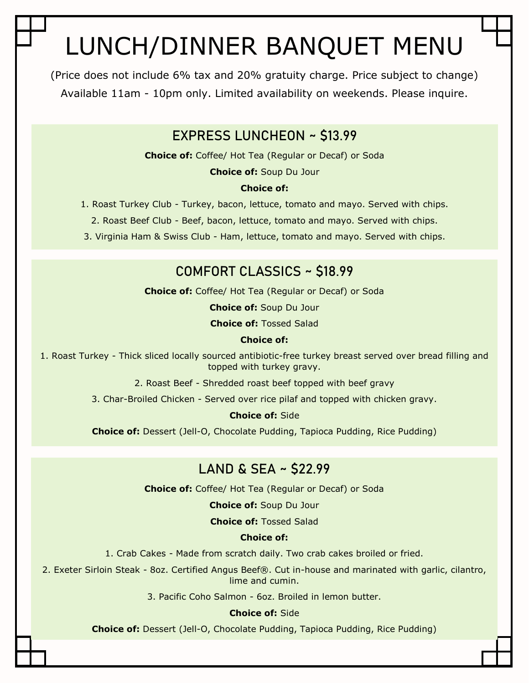# LUNCH/DINNER BANQUET MENU

(Price does not include 6% tax and 20% gratuity charge. Price subject to change) Available 11am - 10pm only. Limited availability on weekends. Please inquire.

### **EXPRESS LUNCHEON ~ \$13.99**

**Choice of:** Coffee/ Hot Tea (Regular or Decaf) or Soda

**Choice of:** Soup Du Jour

#### **Choice of:**

1. Roast Turkey Club - Turkey, bacon, lettuce, tomato and mayo. Served with chips.

2. Roast Beef Club - Beef, bacon, lettuce, tomato and mayo. Served with chips.

3. Virginia Ham & Swiss Club - Ham, lettuce, tomato and mayo. Served with chips.

### **COMFORT CLASSICS ~ \$18.99**

**Choice of:** Coffee/ Hot Tea (Regular or Decaf) or Soda

**Choice of:** Soup Du Jour

**Choice of:** Tossed Salad

#### **Choice of:**

1. Roast Turkey - Thick sliced locally sourced antibiotic-free turkey breast served over bread filling and topped with turkey gravy.

2. Roast Beef - Shredded roast beef topped with beef gravy

3. Char-Broiled Chicken - Served over rice pilaf and topped with chicken gravy.

**Choice of:** Side

**Choice of:** Dessert (Jell-O, Chocolate Pudding, Tapioca Pudding, Rice Pudding)

### **LAND & SEA ~ \$22.99**

**Choice of:** Coffee/ Hot Tea (Regular or Decaf) or Soda

**Choice of:** Soup Du Jour

**Choice of:** Tossed Salad

#### **Choice of:**

1. Crab Cakes - Made from scratch daily. Two crab cakes broiled or fried.

2. Exeter Sirloin Steak - 8oz. Certified Angus Beef®. Cut in-house and marinated with garlic, cilantro, lime and cumin.

3. Pacific Coho Salmon - 6oz. Broiled in lemon butter.

#### **Choice of:** Side

**Choice of:** Dessert (Jell-O, Chocolate Pudding, Tapioca Pudding, Rice Pudding)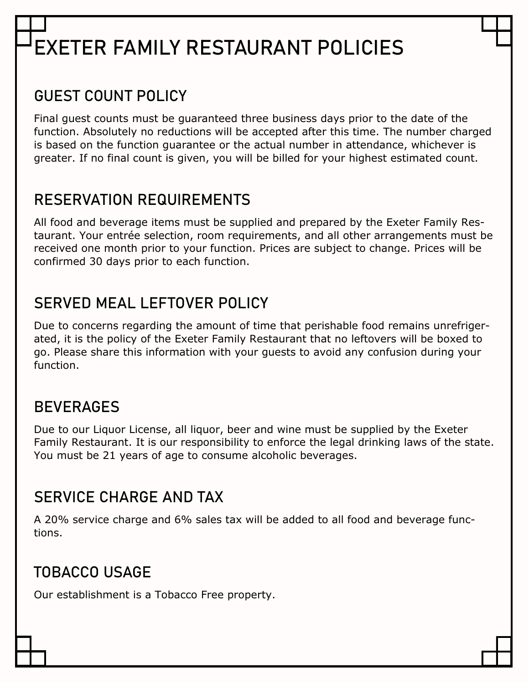# **EXETER FAMILY RESTAURANT POLICIES**

## **GUEST COUNT POLICY**

Final guest counts must be guaranteed three business days prior to the date of the function. Absolutely no reductions will be accepted after this time. The number charged is based on the function guarantee or the actual number in attendance, whichever is greater. If no final count is given, you will be billed for your highest estimated count.

### **RESERVATION REQUIREMENTS**

All food and beverage items must be supplied and prepared by the Exeter Family Restaurant. Your entrée selection, room requirements, and all other arrangements must be received one month prior to your function. Prices are subject to change. Prices will be confirmed 30 days prior to each function.

## **SERVED MEAL LEFTOVER POLICY**

Due to concerns regarding the amount of time that perishable food remains unrefrigerated, it is the policy of the Exeter Family Restaurant that no leftovers will be boxed to go. Please share this information with your guests to avoid any confusion during your function.

### **BEVERAGES**

Due to our Liquor License, all liquor, beer and wine must be supplied by the Exeter Family Restaurant. It is our responsibility to enforce the legal drinking laws of the state. You must be 21 years of age to consume alcoholic beverages.

### **SERVICE CHARGE AND TAX**

A 20% service charge and 6% sales tax will be added to all food and beverage functions.

## **TOBACCO USAGE**

Our establishment is a Tobacco Free property.